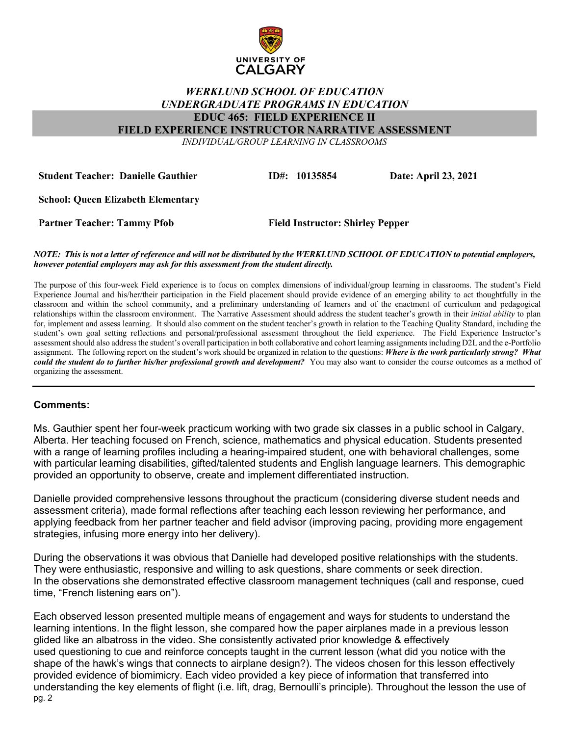

## *WERKLUND SCHOOL OF EDUCATION UNDERGRADUATE PROGRAMS IN EDUCATION* **EDUC 465: FIELD EXPERIENCE II**

**FIELD EXPERIENCE INSTRUCTOR NARRATIVE ASSESSMENT**

*INDIVIDUAL/GROUP LEARNING IN CLASSROOMS*

**Student Teacher: Danielle Gauthier ID#: 10135854 Date: April 23, 2021**

**School: Queen Elizabeth Elementary** 

**Partner Teacher: Tammy Pfob Field Instructor: Shirley Pepper**

## *NOTE: This is not a letter of reference and will not be distributed by the WERKLUND SCHOOL OF EDUCATION to potential employers, however potential employers may ask for this assessment from the student directly.*

The purpose of this four-week Field experience is to focus on complex dimensions of individual/group learning in classrooms. The student's Field Experience Journal and his/her/their participation in the Field placement should provide evidence of an emerging ability to act thoughtfully in the classroom and within the school community, and a preliminary understanding of learners and of the enactment of curriculum and pedagogical relationships within the classroom environment. The Narrative Assessment should address the student teacher's growth in their *initial ability* to plan for, implement and assess learning. It should also comment on the student teacher's growth in relation to the Teaching Quality Standard, including the student's own goal setting reflections and personal/professional assessment throughout the field experience. The Field Experience Instructor's assessment should also address the student's overall participation in both collaborative and cohort learning assignments including D2L and the e-Portfolio assignment. The following report on the student's work should be organized in relation to the questions: *Where is the work particularly strong? What could the student do to further his/her professional growth and development?* You may also want to consider the course outcomes as a method of organizing the assessment.

## **Comments:**

Ms. Gauthier spent her four-week practicum working with two grade six classes in a public school in Calgary, Alberta. Her teaching focused on French, science, mathematics and physical education. Students presented with a range of learning profiles including a hearing-impaired student, one with behavioral challenges, some with particular learning disabilities, gifted/talented students and English language learners. This demographic provided an opportunity to observe, create and implement differentiated instruction.

Danielle provided comprehensive lessons throughout the practicum (considering diverse student needs and assessment criteria), made formal reflections after teaching each lesson reviewing her performance, and applying feedback from her partner teacher and field advisor (improving pacing, providing more engagement strategies, infusing more energy into her delivery).

During the observations it was obvious that Danielle had developed positive relationships with the students. They were enthusiastic, responsive and willing to ask questions, share comments or seek direction. In the observations she demonstrated effective classroom management techniques (call and response, cued time, "French listening ears on").

pg. 2 Each observed lesson presented multiple means of engagement and ways for students to understand the learning intentions. In the flight lesson, she compared how the paper airplanes made in a previous lesson glided like an albatross in the video. She consistently activated prior knowledge & effectively used questioning to cue and reinforce concepts taught in the current lesson (what did you notice with the shape of the hawk's wings that connects to airplane design?). The videos chosen for this lesson effectively provided evidence of biomimicry. Each video provided a key piece of information that transferred into understanding the key elements of flight (i.e. lift, drag, Bernoulli's principle). Throughout the lesson the use of